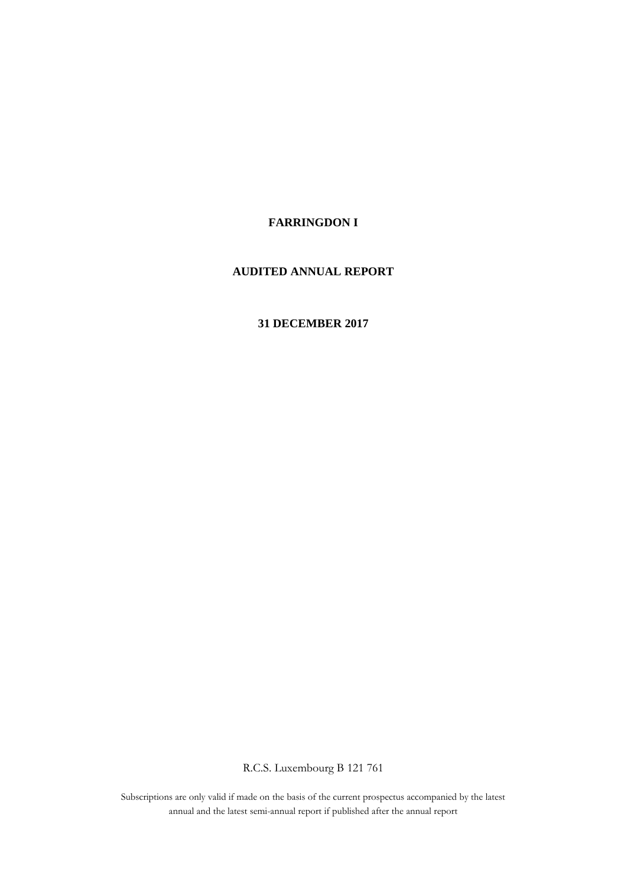## **FARRINGDON I**

## **AUDITED ANNUAL REPORT**

## **31 DECEMBER 2017**

R.C.S. Luxembourg B 121 761

Subscriptions are only valid if made on the basis of the current prospectus accompanied by the latest annual and the latest semi-annual report if published after the annual report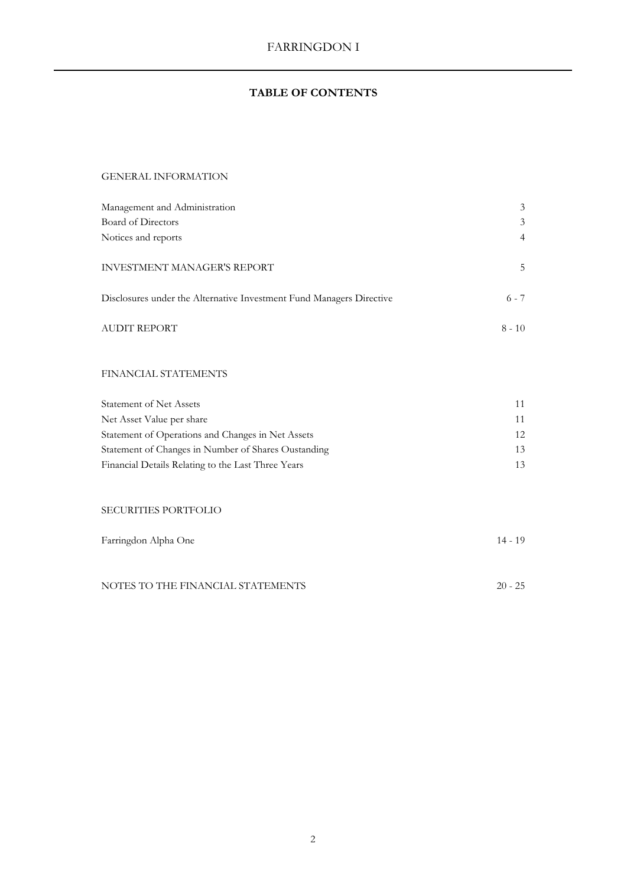## **TABLE OF CONTENTS**

## GENERAL INFORMATION

| Management and Administration                                        | 3              |
|----------------------------------------------------------------------|----------------|
| Board of Directors                                                   | 3              |
| Notices and reports                                                  | $\overline{4}$ |
| <b>INVESTMENT MANAGER'S REPORT</b>                                   | .5             |
| Disclosures under the Alternative Investment Fund Managers Directive | $6 - 7$        |
| <b>AUDIT REPORT</b>                                                  | $8 - 10$       |

## FINANCIAL STATEMENTS

| Statement of Net Assets                             |                 |
|-----------------------------------------------------|-----------------|
| Net Asset Value per share                           |                 |
| Statement of Operations and Changes in Net Assets   | 12 <sup>1</sup> |
| Statement of Changes in Number of Shares Oustanding | 13              |
| Financial Details Relating to the Last Three Years  |                 |

## SECURITIES PORTFOLIO

| Farringdon Alpha One              | $14 - 19$ |
|-----------------------------------|-----------|
|                                   |           |
| NOTES TO THE FINANCIAL STATEMENTS | $20 - 25$ |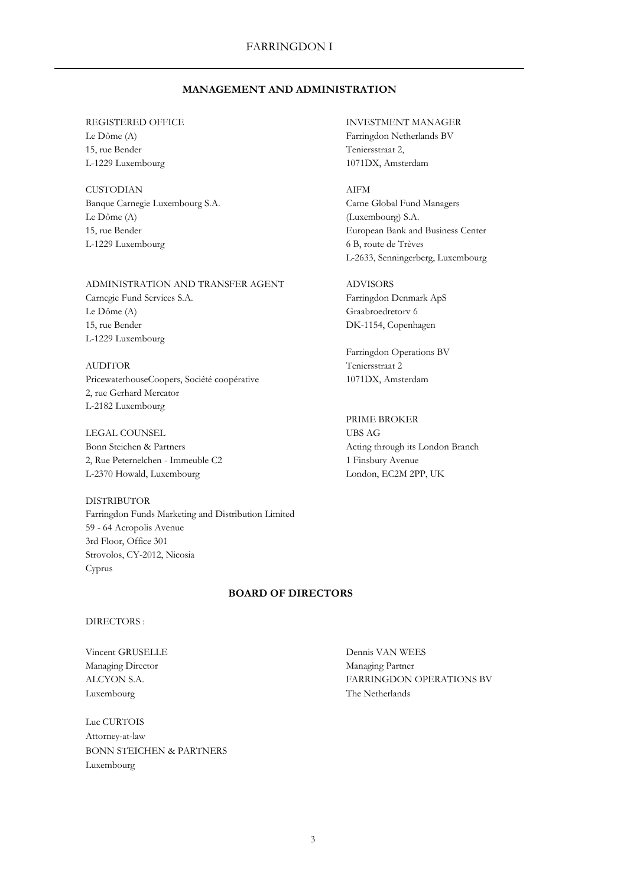## **MANAGEMENT AND ADMINISTRATION**

15, rue Bender Teniersstraat 2, L-1229 Luxembourg 1071DX, Amsterdam

CUSTODIAN AIFM Banque Carnegie Luxembourg S.A. Carne Global Fund Managers Le Dôme (A) (Luxembourg) S.A. L-1229 Luxembourg 6 B, route de Trèves

# ADMINISTRATION AND TRANSFER AGENT ADVISORS

Le Dôme (A) Graabroedretorv 6 15, rue Bender DK-1154, Copenhagen L-1229 Luxembourg

AUDITOR Teniersstraat 2 PricewaterhouseCoopers, Société coopérative 1071DX, Amsterdam 2, rue Gerhard Mercator L-2182 Luxembourg

LEGAL COUNSEL UBS AG Bonn Steichen & Partners Acting through its London Branch 2, Rue Peternelchen - Immeuble C2 1 Finsbury Avenue L-2370 Howald, Luxembourg London, EC2M 2PP, UK

DISTRIBUTOR Farringdon Funds Marketing and Distribution Limited 59 - 64 Acropolis Avenue 3rd Floor, Office 301 Strovolos, CY-2012, Nicosia Cyprus

## **BOARD OF DIRECTORS**

#### DIRECTORS :

Managing Director Managing Partner Luxembourg The Netherlands

Luc CURTOIS Attorney-at-law BONN STEICHEN & PARTNERS Luxembourg

REGISTERED OFFICE **INVESTMENT MANAGER** Le Dôme (A) Farringdon Netherlands BV

15, rue Bender European Bank and Business Center L-2633, Senningerberg, Luxembourg

Carnegie Fund Services S.A. Farringdon Denmark ApS

Farringdon Operations BV

PRIME BROKER

Vincent GRUSELLE Dennis VAN WEES ALCYON S.A. FARRINGDON OPERATIONS BV

3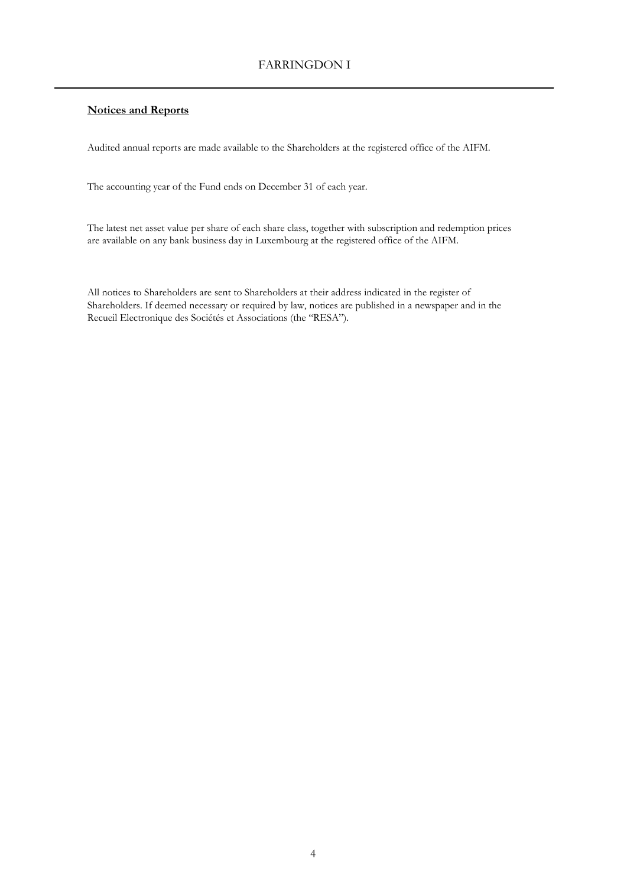## **Notices and Reports**

Audited annual reports are made available to the Shareholders at the registered office of the AIFM.

The accounting year of the Fund ends on December 31 of each year.

The latest net asset value per share of each share class, together with subscription and redemption prices are available on any bank business day in Luxembourg at the registered office of the AIFM.

All notices to Shareholders are sent to Shareholders at their address indicated in the register of Shareholders. If deemed necessary or required by law, notices are published in a newspaper and in the Recueil Electronique des Sociétés et Associations (the "RESA").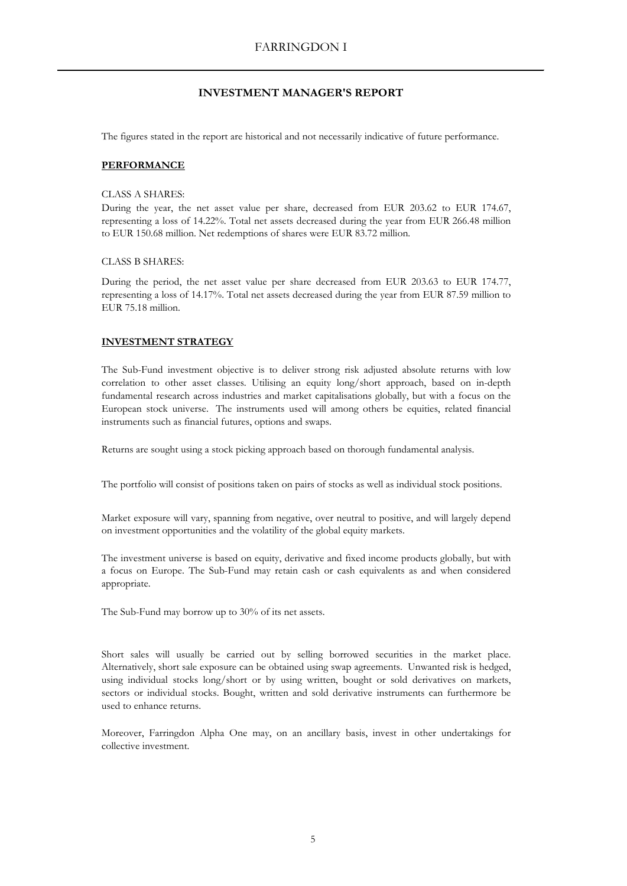## **INVESTMENT MANAGER'S REPORT**

The figures stated in the report are historical and not necessarily indicative of future performance.

#### **PERFORMANCE**

#### CLASS A SHARES:

During the year, the net asset value per share, decreased from EUR 203.62 to EUR 174.67, representing a loss of 14.22%. Total net assets decreased during the year from EUR 266.48 million to EUR 150.68 million. Net redemptions of shares were EUR 83.72 million.

#### CLASS B SHARES:

During the period, the net asset value per share decreased from EUR 203.63 to EUR 174.77, representing a loss of 14.17%. Total net assets decreased during the year from EUR 87.59 million to EUR 75.18 million.

### **INVESTMENT STRATEGY**

The Sub-Fund investment objective is to deliver strong risk adjusted absolute returns with low correlation to other asset classes. Utilising an equity long/short approach, based on in-depth fundamental research across industries and market capitalisations globally, but with a focus on the European stock universe. The instruments used will among others be equities, related financial instruments such as financial futures, options and swaps.

Returns are sought using a stock picking approach based on thorough fundamental analysis.

The portfolio will consist of positions taken on pairs of stocks as well as individual stock positions.

Market exposure will vary, spanning from negative, over neutral to positive, and will largely depend on investment opportunities and the volatility of the global equity markets.

The investment universe is based on equity, derivative and fixed income products globally, but with a focus on Europe. The Sub-Fund may retain cash or cash equivalents as and when considered appropriate.

The Sub-Fund may borrow up to 30% of its net assets.

Short sales will usually be carried out by selling borrowed securities in the market place. Alternatively, short sale exposure can be obtained using swap agreements. Unwanted risk is hedged, using individual stocks long/short or by using written, bought or sold derivatives on markets, sectors or individual stocks. Bought, written and sold derivative instruments can furthermore be used to enhance returns.

Moreover, Farringdon Alpha One may, on an ancillary basis, invest in other undertakings for collective investment.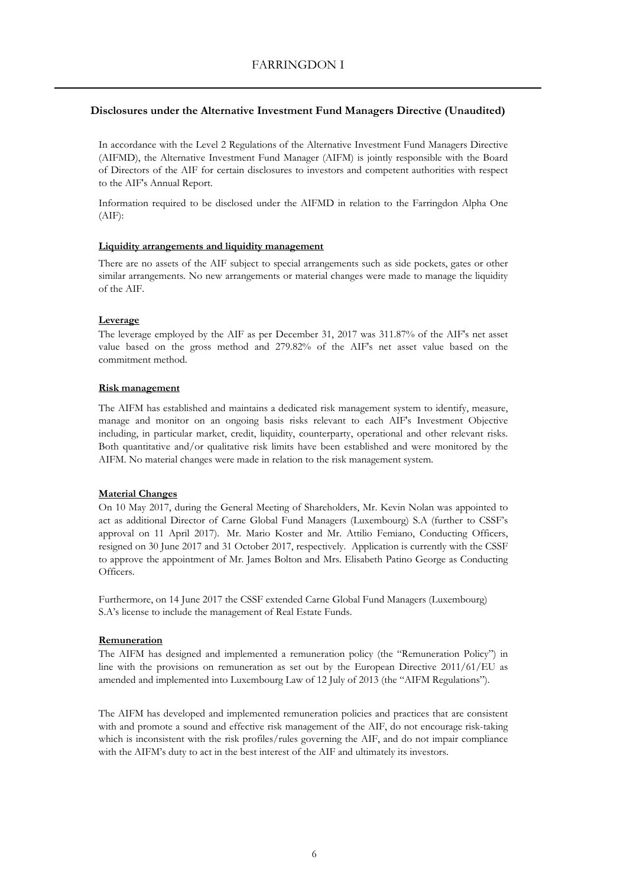### **Disclosures under the Alternative Investment Fund Managers Directive (Unaudited)**

In accordance with the Level 2 Regulations of the Alternative Investment Fund Managers Directive (AIFMD), the Alternative Investment Fund Manager (AIFM) is jointly responsible with the Board of Directors of the AIF for certain disclosures to investors and competent authorities with respect to the AIF's Annual Report.

Information required to be disclosed under the AIFMD in relation to the Farringdon Alpha One (AIF):

#### **Liquidity arrangements and liquidity management**

There are no assets of the AIF subject to special arrangements such as side pockets, gates or other similar arrangements. No new arrangements or material changes were made to manage the liquidity of the AIF.

#### **Leverage**

The leverage employed by the AIF as per December 31, 2017 was 311.87% of the AIF's net asset value based on the gross method and 279.82% of the AIF's net asset value based on the commitment method.

#### **Risk management**

The AIFM has established and maintains a dedicated risk management system to identify, measure, manage and monitor on an ongoing basis risks relevant to each AIF's Investment Objective including, in particular market, credit, liquidity, counterparty, operational and other relevant risks. Both quantitative and/or qualitative risk limits have been established and were monitored by the AIFM. No material changes were made in relation to the risk management system.

### **Material Changes**

On 10 May 2017, during the General Meeting of Shareholders, Mr. Kevin Nolan was appointed to act as additional Director of Carne Global Fund Managers (Luxembourg) S.A (further to CSSF's approval on 11 April 2017). Mr. Mario Koster and Mr. Attilio Femiano, Conducting Officers, resigned on 30 June 2017 and 31 October 2017, respectively. Application is currently with the CSSF to approve the appointment of Mr. James Bolton and Mrs. Elisabeth Patino George as Conducting Officers.

Furthermore, on 14 June 2017 the CSSF extended Carne Global Fund Managers (Luxembourg) S.A's license to include the management of Real Estate Funds.

#### **Remuneration**

The AIFM has designed and implemented a remuneration policy (the "Remuneration Policy") in line with the provisions on remuneration as set out by the European Directive 2011/61/EU as amended and implemented into Luxembourg Law of 12 July of 2013 (the "AIFM Regulations").

The AIFM has developed and implemented remuneration policies and practices that are consistent with and promote a sound and effective risk management of the AIF, do not encourage risk-taking which is inconsistent with the risk profiles/rules governing the AIF, and do not impair compliance with the AIFM's duty to act in the best interest of the AIF and ultimately its investors.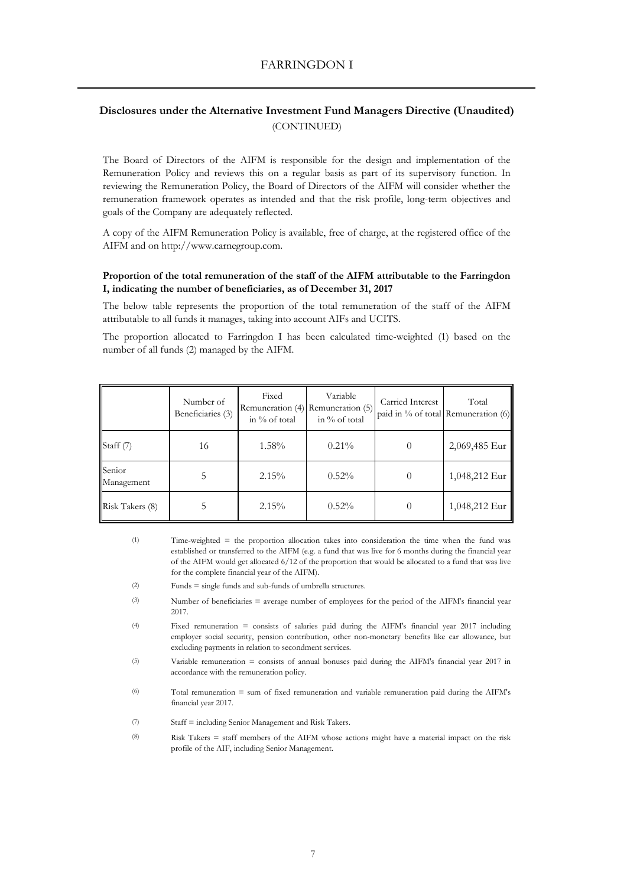## **Disclosures under the Alternative Investment Fund Managers Directive (Unaudited)** (CONTINUED)

The Board of Directors of the AIFM is responsible for the design and implementation of the Remuneration Policy and reviews this on a regular basis as part of its supervisory function. In reviewing the Remuneration Policy, the Board of Directors of the AIFM will consider whether the remuneration framework operates as intended and that the risk profile, long-term objectives and goals of the Company are adequately reflected.

A copy of the AIFM Remuneration Policy is available, free of charge, at the registered office of the AIFM and on http://www.carnegroup.com.

#### **Proportion of the total remuneration of the staff of the AIFM attributable to the Farringdon I, indicating the number of beneficiaries, as of December 31, 2017**

The below table represents the proportion of the total remuneration of the staff of the AIFM attributable to all funds it manages, taking into account AIFs and UCITS.

The proportion allocated to Farringdon I has been calculated time-weighted (1) based on the number of all funds (2) managed by the AIFM.

|                      | Number of<br>Beneficiaries (3) | Fixed<br>in $\%$ of total | Variable<br>Remuneration (4) Remuneration (5)<br>in % of total | Carried Interest<br>paid in % of total Remuneration (6) | Total         |
|----------------------|--------------------------------|---------------------------|----------------------------------------------------------------|---------------------------------------------------------|---------------|
| Staff (7)            | 16                             | $1.58\%$                  | $0.21\%$                                                       | $\theta$                                                | 2,069,485 Eur |
| Senior<br>Management |                                | $2.15\%$                  | $0.52\%$                                                       | $\Omega$                                                | 1,048,212 Eur |
| Risk Takers (8)      |                                | 2.15%                     | $0.52\%$                                                       | 0                                                       | 1,048,212 Eur |

- (1) Time-weighted = the proportion allocation takes into consideration the time when the fund was established or transferred to the AIFM (e.g. a fund that was live for 6 months during the financial year of the AIFM would get allocated 6/12 of the proportion that would be allocated to a fund that was live for the complete financial year of the AIFM).
- $(2)$ Funds = single funds and sub-funds of umbrella structures.
- (3) Number of beneficiaries = average number of employees for the period of the AIFM's financial year 2017.
- (4) Fixed remuneration = consists of salaries paid during the AIFM's financial year 2017 including employer social security, pension contribution, other non-monetary benefits like car allowance, but excluding payments in relation to secondment services.
- (5) Variable remuneration = consists of annual bonuses paid during the AIFM's financial year 2017 in accordance with the remuneration policy.
- (6) Total remuneration = sum of fixed remuneration and variable remuneration paid during the AIFM's financial year 2017.
- (7) Staff = including Senior Management and Risk Takers.
- (8) Risk Takers = staff members of the AIFM whose actions might have a material impact on the risk profile of the AIF, including Senior Management.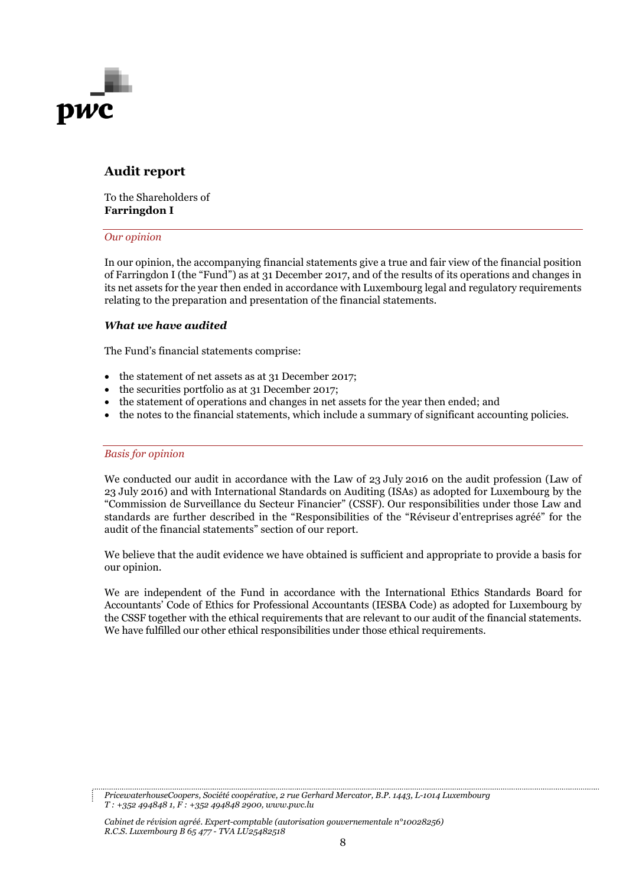

## **Audit report**

To the Shareholders of **Farringdon I**

## *Our opinion*

In our opinion, the accompanying financial statements give a true and fair view of the financial position of Farringdon I (the "Fund") as at 31 December 2017, and of the results of its operations and changes in its net assets for the year then ended in accordance with Luxembourg legal and regulatory requirements relating to the preparation and presentation of the financial statements.

## *What we have audited*

The Fund's financial statements comprise:

- the statement of net assets as at 31 December 2017;
- the securities portfolio as at 31 December 2017;
- the statement of operations and changes in net assets for the year then ended; and
- the notes to the financial statements, which include a summary of significant accounting policies.

### *Basis for opinion*

We conducted our audit in accordance with the Law of 23 July 2016 on the audit profession (Law of 23 July 2016) and with International Standards on Auditing (ISAs) as adopted for Luxembourg by the "Commission de Surveillance du Secteur Financier" (CSSF). Our responsibilities under those Law and standards are further described in the "Responsibilities of the "Réviseur d'entreprises agréé" for the audit of the financial statements" section of our report.

We believe that the audit evidence we have obtained is sufficient and appropriate to provide a basis for our opinion.

We are independent of the Fund in accordance with the International Ethics Standards Board for Accountants' Code of Ethics for Professional Accountants (IESBA Code) as adopted for Luxembourg by the CSSF together with the ethical requirements that are relevant to our audit of the financial statements. We have fulfilled our other ethical responsibilities under those ethical requirements.

*Cabinet de révision agréé. Expert-comptable (autorisation gouvernementale n°10028256) R.C.S. Luxembourg B 65 477 - TVA LU25482518*

*PricewaterhouseCoopers, Société coopérative, 2 rue Gerhard Mercator, B.P. 1443, L-1014 Luxembourg T : +352 494848 1, F : +352 494848 2900, www.pwc.lu*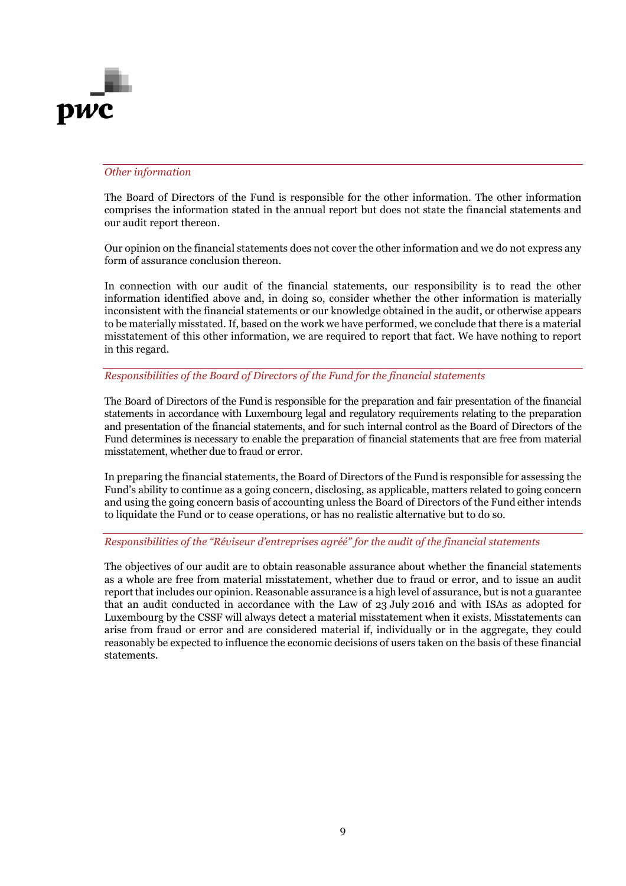

### *Other information*

The Board of Directors of the Fund is responsible for the other information. The other information comprises the information stated in the annual report but does not state the financial statements and our audit report thereon.

Our opinion on the financial statements does not cover the other information and we do not express any form of assurance conclusion thereon.

In connection with our audit of the financial statements, our responsibility is to read the other information identified above and, in doing so, consider whether the other information is materially inconsistent with the financial statements or our knowledge obtained in the audit, or otherwise appears to be materially misstated. If, based on the work we have performed, we conclude that there is a material misstatement of this other information, we are required to report that fact. We have nothing to report in this regard.

## *Responsibilities of the Board of Directors of the Fund for the financial statements*

The Board of Directors of the Fund is responsible for the preparation and fair presentation of the financial statements in accordance with Luxembourg legal and regulatory requirements relating to the preparation and presentation of the financial statements, and for such internal control as the Board of Directors of the Fund determines is necessary to enable the preparation of financial statements that are free from material misstatement, whether due to fraud or error.

In preparing the financial statements, the Board of Directors of the Fund is responsible for assessing the Fund's ability to continue as a going concern, disclosing, as applicable, matters related to going concern and using the going concern basis of accounting unless the Board of Directors of the Fund either intends to liquidate the Fund or to cease operations, or has no realistic alternative but to do so.

### *Responsibilities of the "Réviseur d'entreprises agréé" for the audit of the financial statements*

The objectives of our audit are to obtain reasonable assurance about whether the financial statements as a whole are free from material misstatement, whether due to fraud or error, and to issue an audit report that includes our opinion. Reasonable assurance is a high level of assurance, but is not a guarantee that an audit conducted in accordance with the Law of 23 July 2016 and with ISAs as adopted for Luxembourg by the CSSF will always detect a material misstatement when it exists. Misstatements can arise from fraud or error and are considered material if, individually or in the aggregate, they could reasonably be expected to influence the economic decisions of users taken on the basis of these financial statements.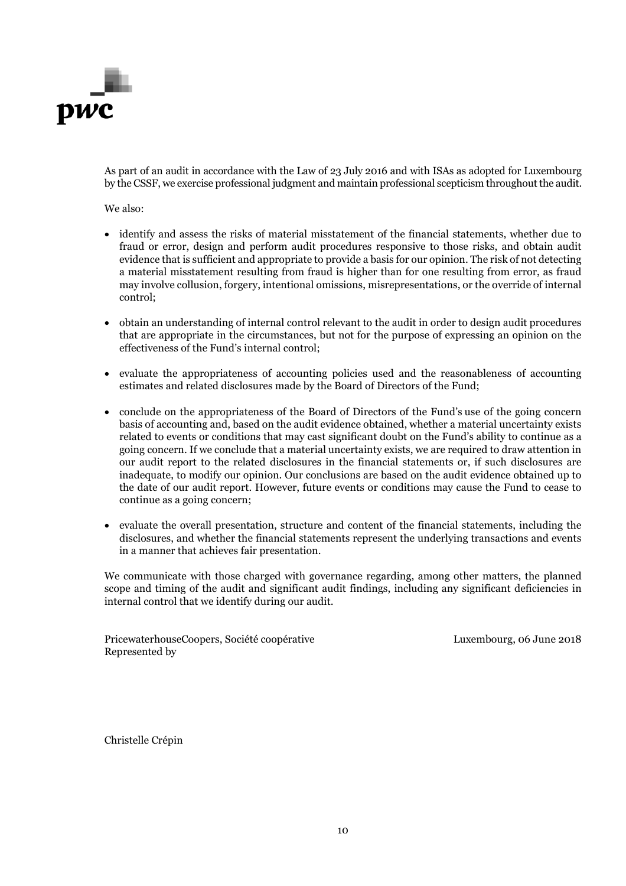

As part of an audit in accordance with the Law of 23 July 2016 and with ISAs as adopted for Luxembourg by the CSSF, we exercise professional judgment and maintain professional scepticism throughout the audit.

We also:

- identify and assess the risks of material misstatement of the financial statements, whether due to fraud or error, design and perform audit procedures responsive to those risks, and obtain audit evidence that is sufficient and appropriate to provide a basis for our opinion. The risk of not detecting a material misstatement resulting from fraud is higher than for one resulting from error, as fraud may involve collusion, forgery, intentional omissions, misrepresentations, or the override of internal control;
- obtain an understanding of internal control relevant to the audit in order to design audit procedures that are appropriate in the circumstances, but not for the purpose of expressing an opinion on the effectiveness of the Fund's internal control;
- evaluate the appropriateness of accounting policies used and the reasonableness of accounting estimates and related disclosures made by the Board of Directors of the Fund;
- conclude on the appropriateness of the Board of Directors of the Fund's use of the going concern basis of accounting and, based on the audit evidence obtained, whether a material uncertainty exists related to events or conditions that may cast significant doubt on the Fund's ability to continue as a going concern. If we conclude that a material uncertainty exists, we are required to draw attention in our audit report to the related disclosures in the financial statements or, if such disclosures are inadequate, to modify our opinion. Our conclusions are based on the audit evidence obtained up to the date of our audit report. However, future events or conditions may cause the Fund to cease to continue as a going concern;
- evaluate the overall presentation, structure and content of the financial statements, including the disclosures, and whether the financial statements represent the underlying transactions and events in a manner that achieves fair presentation.

We communicate with those charged with governance regarding, among other matters, the planned scope and timing of the audit and significant audit findings, including any significant deficiencies in internal control that we identify during our audit.

PricewaterhouseCoopers, Société coopérative Luxembourg, 06 June 2018 Represented by

Christelle Crépin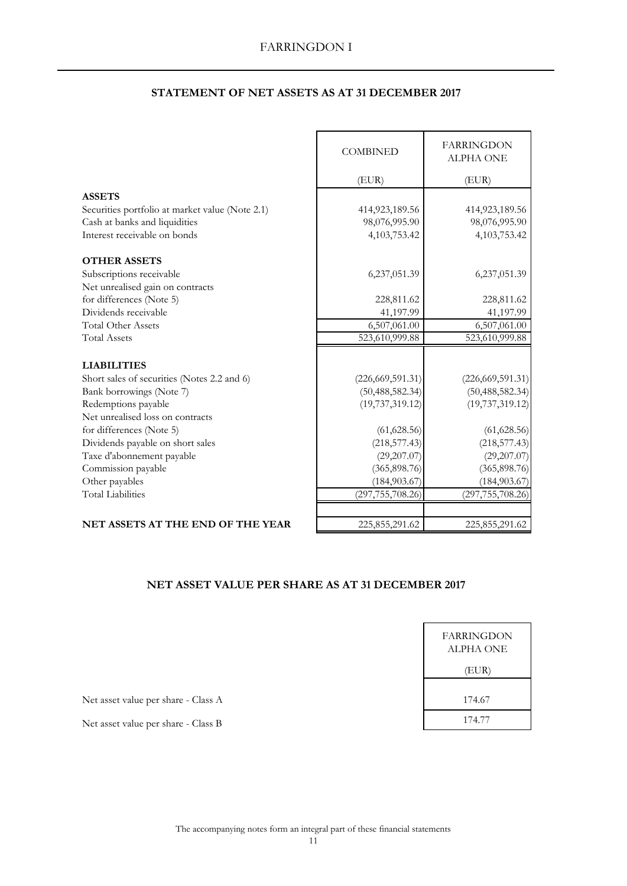| <b>STATEMENT OF NET ASSETS AS AT 31 DECEMBER 2017</b> |  |  |  |  |  |
|-------------------------------------------------------|--|--|--|--|--|
|-------------------------------------------------------|--|--|--|--|--|

|                                                 | <b>COMBINED</b>    | <b>FARRINGDON</b><br><b>ALPHA ONE</b> |
|-------------------------------------------------|--------------------|---------------------------------------|
|                                                 | (EUR)              | (EUR)                                 |
| <b>ASSETS</b>                                   |                    |                                       |
| Securities portfolio at market value (Note 2.1) | 414,923,189.56     | 414,923,189.56                        |
| Cash at banks and liquidities                   | 98,076,995.90      | 98,076,995.90                         |
| Interest receivable on bonds                    | 4,103,753.42       | 4,103,753.42                          |
| <b>OTHER ASSETS</b>                             |                    |                                       |
| Subscriptions receivable                        | 6,237,051.39       | 6,237,051.39                          |
| Net unrealised gain on contracts                |                    |                                       |
| for differences (Note 5)                        | 228,811.62         | 228,811.62                            |
| Dividends receivable                            | 41,197.99          | 41,197.99                             |
| <b>Total Other Assets</b>                       | 6,507,061.00       | 6,507,061.00                          |
| <b>Total Assets</b>                             | 523,610,999.88     | 523,610,999.88                        |
| <b>LIABILITIES</b>                              |                    |                                       |
| Short sales of securities (Notes 2.2 and 6)     | (226, 669, 591.31) | (226, 669, 591.31)                    |
| Bank borrowings (Note 7)                        | (50, 488, 582.34)  | (50, 488, 582.34)                     |
| Redemptions payable                             | (19, 737, 319.12)  | (19, 737, 319.12)                     |
| Net unrealised loss on contracts                |                    |                                       |
| for differences (Note 5)                        | (61, 628.56)       | (61, 628.56)                          |
| Dividends payable on short sales                | (218, 577.43)      | (218, 577.43)                         |
| Taxe d'abonnement payable                       | (29, 207.07)       | (29,207.07)                           |
| Commission payable                              | (365, 898.76)      | (365, 898.76)                         |
| Other payables                                  | (184, 903.67)      | (184, 903.67)                         |
| <b>Total Liabilities</b>                        | (297, 755, 708.26) | (297, 755, 708.26)                    |
|                                                 |                    |                                       |
| <b>NET ASSETS AT THE END OF THE YEAR</b>        | 225,855,291.62     | 225,855,291.62                        |

## **NET ASSET VALUE PER SHARE AS AT 31 DECEMBER 2017**

| FARRINGDON<br>ALPHA ONE |  |
|-------------------------|--|
| (EUR)                   |  |
| 174.67                  |  |
| 174.77                  |  |

Net asset value per share - Class A

Net asset value per share - Class B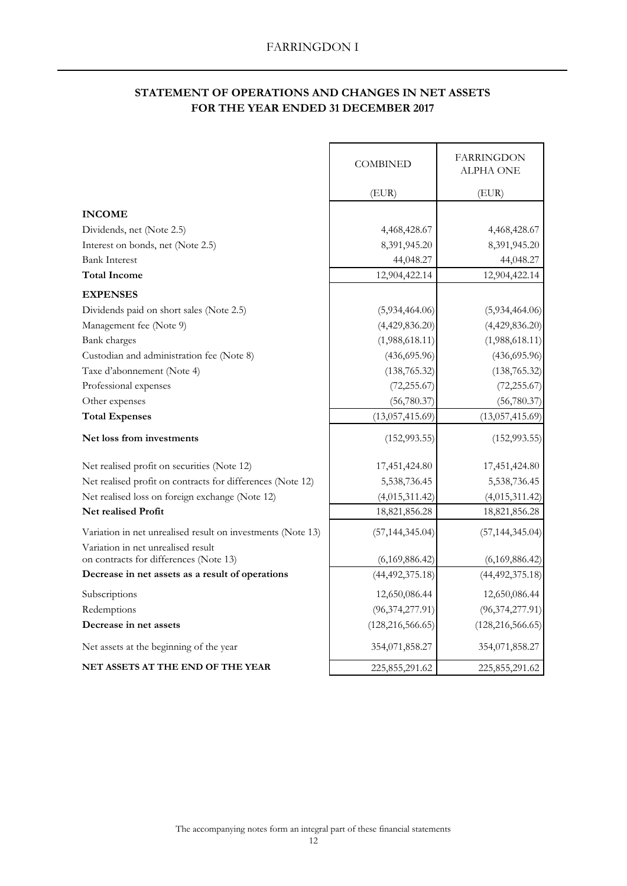## **STATEMENT OF OPERATIONS AND CHANGES IN NET ASSETS FOR THE YEAR ENDED 31 DECEMBER 2017**

 $\blacksquare$ 

|                                                                                                   | <b>COMBINED</b>    | <b>FARRINGDON</b><br>ALPHA ONE |
|---------------------------------------------------------------------------------------------------|--------------------|--------------------------------|
|                                                                                                   | (EUR)              | (EUR)                          |
| <b>INCOME</b>                                                                                     |                    |                                |
| Dividends, net (Note 2.5)                                                                         | 4,468,428.67       | 4,468,428.67                   |
| Interest on bonds, net (Note 2.5)                                                                 | 8,391,945.20       | 8,391,945.20                   |
| <b>Bank Interest</b>                                                                              | 44,048.27          | 44,048.27                      |
| <b>Total Income</b>                                                                               | 12,904,422.14      | 12,904,422.14                  |
| <b>EXPENSES</b>                                                                                   |                    |                                |
| Dividends paid on short sales (Note 2.5)                                                          | (5,934,464.06)     | (5,934,464.06)                 |
| Management fee (Note 9)                                                                           | (4,429,836.20)     | (4,429,836.20)                 |
| Bank charges                                                                                      | (1,988,618.11)     | (1,988,618.11)                 |
| Custodian and administration fee (Note 8)                                                         | (436, 695.96)      | (436, 695.96)                  |
| Taxe d'abonnement (Note 4)                                                                        | (138, 765.32)      | (138, 765.32)                  |
| Professional expenses                                                                             | (72, 255.67)       | (72, 255.67)                   |
| Other expenses                                                                                    | (56,780.37)        | (56,780.37)                    |
| <b>Total Expenses</b>                                                                             | (13,057,415.69)    | (13,057,415.69)                |
| Net loss from investments                                                                         | (152, 993.55)      | (152, 993.55)                  |
| Net realised profit on securities (Note 12)                                                       | 17,451,424.80      | 17,451,424.80                  |
| Net realised profit on contracts for differences (Note 12)                                        | 5,538,736.45       | 5,538,736.45                   |
| Net realised loss on foreign exchange (Note 12)                                                   | (4,015,311.42)     | (4,015,311.42)                 |
| <b>Net realised Profit</b>                                                                        | 18,821,856.28      | 18,821,856.28                  |
| Variation in net unrealised result on investments (Note 13)<br>Variation in net unrealised result | (57, 144, 345.04)  | (57, 144, 345.04)              |
| on contracts for differences (Note 13)                                                            | (6,169,886.42)     | (6,169,886.42)                 |
| Decrease in net assets as a result of operations                                                  | (44, 492, 375.18)  | (44, 492, 375.18)              |
| Subscriptions                                                                                     | 12,650,086.44      | 12,650,086.44                  |
| Redemptions                                                                                       | (96, 374, 277.91)  | (96, 374, 277.91)              |
| Decrease in net assets                                                                            | (128, 216, 566.65) | (128, 216, 566.65)             |
| Net assets at the beginning of the year                                                           | 354,071,858.27     | 354,071,858.27                 |
| <b>NET ASSETS AT THE END OF THE YEAR</b>                                                          | 225,855,291.62     | 225,855,291.62                 |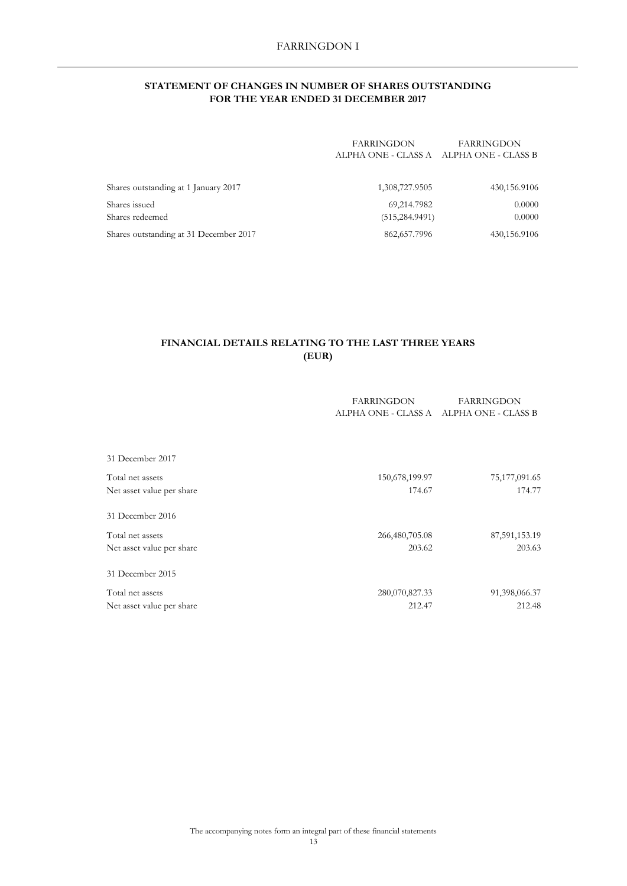### **STATEMENT OF CHANGES IN NUMBER OF SHARES OUTSTANDING FOR THE YEAR ENDED 31 DECEMBER 2017**

| <b>FARRINGDON</b> | FARRINGDON                              |
|-------------------|-----------------------------------------|
|                   | ALPHA ONE - CLASS A ALPHA ONE - CLASS B |
|                   |                                         |
|                   |                                         |

| Shares outstanding at 1 January 2017   | 1,308,727.9505  | 430,156.9106 |
|----------------------------------------|-----------------|--------------|
| Shares issued                          | 69.214.7982     | 0.0000       |
| Shares redeemed                        | (515, 284.9491) | 0.0000       |
| Shares outstanding at 31 December 2017 | 862.657.7996    | 430,156.9106 |

## **FINANCIAL DETAILS RELATING TO THE LAST THREE YEARS (EUR)**

|                           | <b>FARRINGDON</b>   | <b>FARRINGDON</b>   |
|---------------------------|---------------------|---------------------|
|                           | ALPHA ONE - CLASS A | ALPHA ONE - CLASS B |
|                           |                     |                     |
|                           |                     |                     |
| 31 December 2017          |                     |                     |
| Total net assets          | 150,678,199.97      | 75, 177, 091.65     |
| Net asset value per share | 174.67              | 174.77              |
| 31 December 2016          |                     |                     |
| Total net assets          | 266,480,705.08      | 87,591,153.19       |
| Net asset value per share | 203.62              | 203.63              |
| 31 December 2015          |                     |                     |
| Total net assets          | 280,070,827.33      | 91,398,066.37       |
| Net asset value per share | 212.47              | 212.48              |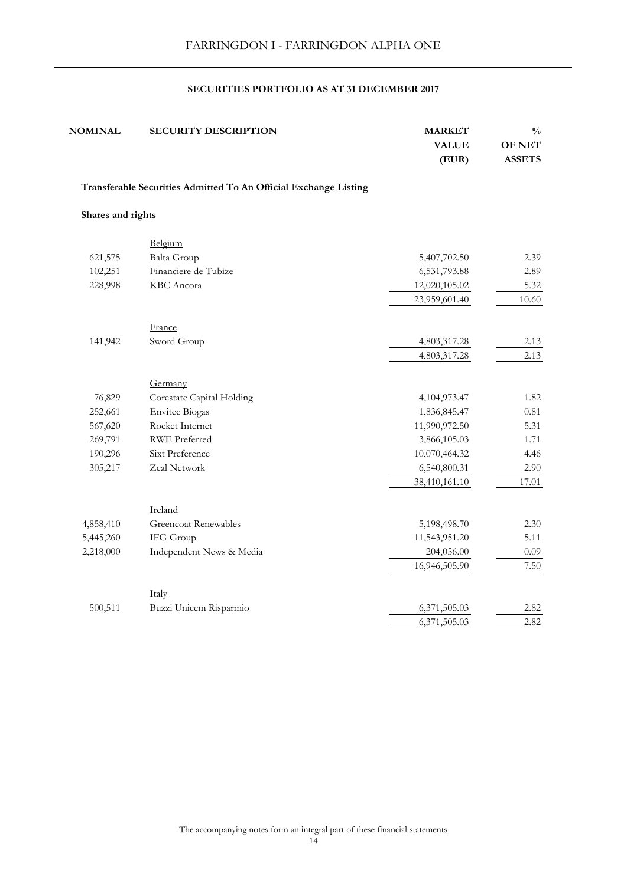| $\frac{0}{0}$<br><b>OF NET</b><br><b>ASSETS</b> | <b>MARKET</b><br><b>VALUE</b><br>(EUR) | <b>SECURITY DESCRIPTION</b>                                      | <b>NOMINAL</b>    |
|-------------------------------------------------|----------------------------------------|------------------------------------------------------------------|-------------------|
|                                                 |                                        | Transferable Securities Admitted To An Official Exchange Listing |                   |
|                                                 |                                        |                                                                  | Shares and rights |
|                                                 |                                        | Belgium                                                          |                   |
| 2.39                                            | 5,407,702.50                           | <b>Balta Group</b>                                               | 621,575           |
| 2.89                                            | 6,531,793.88                           | Financiere de Tubize                                             | 102,251           |
| 5.32                                            | 12,020,105.02                          | KBC Ancora                                                       | 228,998           |
| 10.60                                           | 23,959,601.40                          |                                                                  |                   |
|                                                 |                                        | France                                                           |                   |
| 2.13                                            | 4,803,317.28                           | Sword Group                                                      | 141,942           |
| 2.13                                            | 4,803,317.28                           |                                                                  |                   |
|                                                 |                                        | Germany                                                          |                   |
| 1.82                                            | 4,104,973.47                           | Corestate Capital Holding                                        | 76,829            |
| $0.81\,$                                        | 1,836,845.47                           | <b>Envitec Biogas</b>                                            | 252,661           |
| 5.31                                            | 11,990,972.50                          | Rocket Internet                                                  | 567,620           |
| 1.71                                            | 3,866,105.03                           | <b>RWE Preferred</b>                                             | 269,791           |
| 4.46                                            | 10,070,464.32                          | Sixt Preference                                                  | 190,296           |
| 2.90                                            | 6,540,800.31                           | Zeal Network                                                     | 305,217           |
| 17.01                                           | 38,410,161.10                          |                                                                  |                   |
|                                                 |                                        | Ireland                                                          |                   |
| 2.30                                            | 5,198,498.70                           | <b>Greencoat Renewables</b>                                      | 4,858,410         |
| 5.11                                            | 11,543,951.20                          | IFG Group                                                        | 5,445,260         |
| 0.09                                            | 204,056.00                             | Independent News & Media                                         | 2,218,000         |
| 7.50                                            | 16,946,505.90                          |                                                                  |                   |
|                                                 |                                        | Italy                                                            |                   |
| 2.82                                            | 6,371,505.03                           | Buzzi Unicem Risparmio                                           | 500,511           |
| 2.82                                            | 6,371,505.03                           |                                                                  |                   |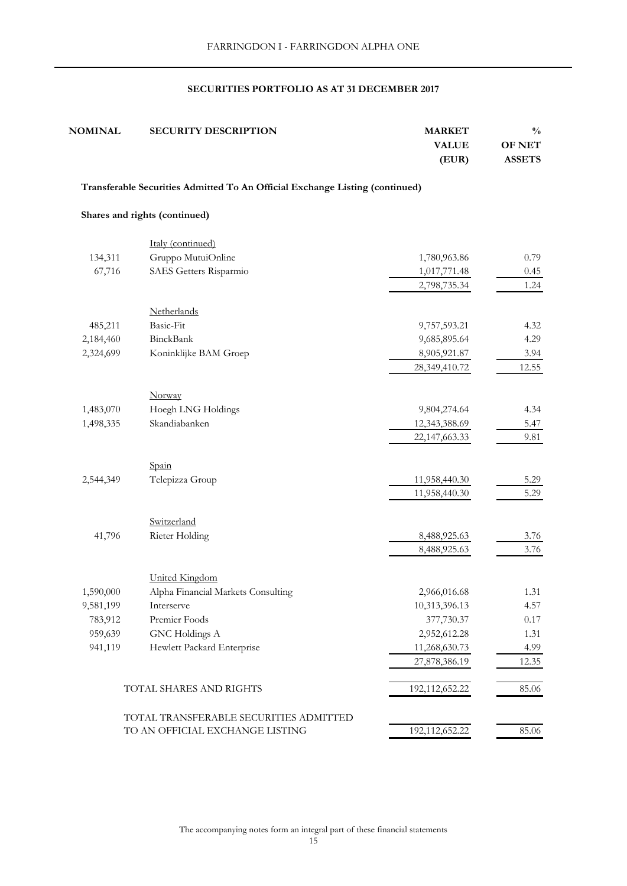| <b>NOMINAL</b> | <b>SECURITY DESCRIPTION</b>                                                  | <b>MARKET</b><br><b>VALUE</b><br>(EUR) | $\frac{0}{0}$<br><b>OF NET</b><br><b>ASSETS</b> |
|----------------|------------------------------------------------------------------------------|----------------------------------------|-------------------------------------------------|
|                | Transferable Securities Admitted To An Official Exchange Listing (continued) |                                        |                                                 |
|                | Shares and rights (continued)                                                |                                        |                                                 |
|                | Italy (continued)                                                            |                                        |                                                 |
| 134,311        | Gruppo MutuiOnline                                                           | 1,780,963.86                           | 0.79                                            |
| 67,716         | SAES Getters Risparmio                                                       | 1,017,771.48                           | 0.45                                            |
|                |                                                                              | 2,798,735.34                           | 1.24                                            |
|                | Netherlands                                                                  |                                        |                                                 |
| 485,211        | Basic-Fit                                                                    | 9,757,593.21                           | 4.32                                            |
| 2,184,460      | <b>BinckBank</b>                                                             | 9,685,895.64                           | 4.29                                            |
| 2,324,699      | Koninklijke BAM Groep                                                        | 8,905,921.87                           | 3.94                                            |
|                |                                                                              | 28,349,410.72                          | 12.55                                           |
|                | Norway                                                                       |                                        |                                                 |
| 1,483,070      | Hoegh LNG Holdings                                                           | 9,804,274.64                           | 4.34                                            |
| 1,498,335      | Skandiabanken                                                                | 12,343,388.69                          | 5.47                                            |
|                |                                                                              | 22,147,663.33                          | 9.81                                            |
|                | Spain                                                                        |                                        |                                                 |
| 2,544,349      | Telepizza Group                                                              | 11,958,440.30                          | 5.29                                            |
|                |                                                                              | 11,958,440.30                          | 5.29                                            |
|                | Switzerland                                                                  |                                        |                                                 |
| 41,796         | Rieter Holding                                                               | 8,488,925.63                           | 3.76                                            |
|                |                                                                              | 8,488,925.63                           | 3.76                                            |
|                | <b>United Kingdom</b>                                                        |                                        |                                                 |
| 1,590,000      | Alpha Financial Markets Consulting                                           | 2,966,016.68                           | 1.31                                            |
| 9,581,199      | Interserve                                                                   | 10,313,396.13                          | 4.57                                            |
| 783,912        | Premier Foods                                                                | 377,730.37                             | $0.17\,$                                        |
| 959,639        | <b>GNC</b> Holdings A                                                        | 2,952,612.28                           | 1.31                                            |
| 941,119        | Hewlett Packard Enterprise                                                   | 11,268,630.73                          | 4.99                                            |
|                |                                                                              | 27,878,386.19                          | 12.35                                           |
|                | TOTAL SHARES AND RIGHTS                                                      | 192,112,652.22                         | 85.06                                           |
|                | TOTAL TRANSFERABLE SECURITIES ADMITTED                                       |                                        |                                                 |
|                | TO AN OFFICIAL EXCHANGE LISTING                                              | 192,112,652.22                         | 85.06                                           |

The accompanying notes form an integral part of these financial statements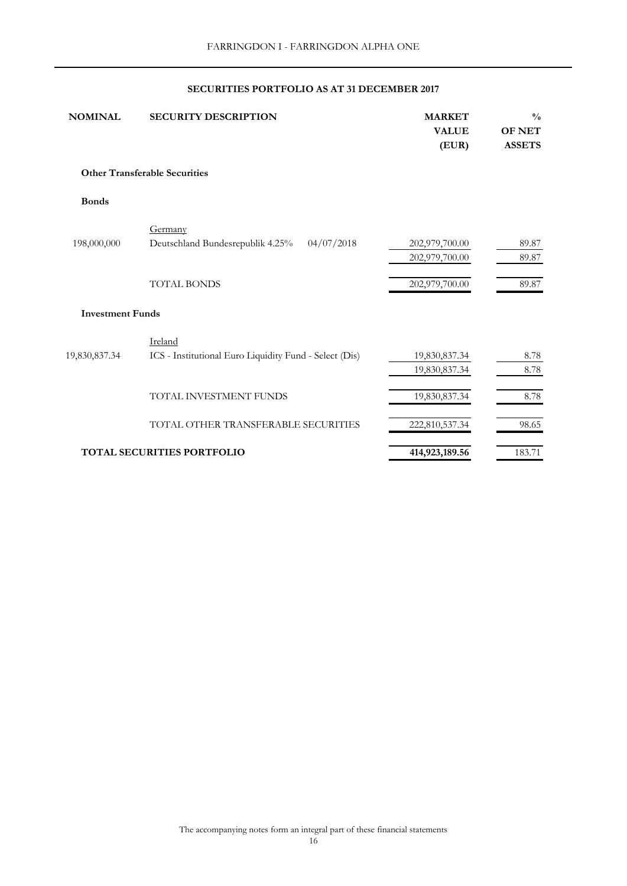| <b>NOMINAL</b>          | <b>SECURITY DESCRIPTION</b>                            | <b>MARKET</b><br><b>VALUE</b><br>(EUR) | $\frac{0}{0}$<br><b>OF NET</b><br><b>ASSETS</b> |
|-------------------------|--------------------------------------------------------|----------------------------------------|-------------------------------------------------|
|                         | <b>Other Transferable Securities</b>                   |                                        |                                                 |
| <b>Bonds</b>            |                                                        |                                        |                                                 |
|                         | Germany                                                |                                        |                                                 |
| 198,000,000             | Deutschland Bundesrepublik 4.25%<br>04/07/2018         | 202,979,700.00                         | 89.87                                           |
|                         |                                                        | 202,979,700.00                         | 89.87                                           |
|                         | <b>TOTAL BONDS</b>                                     | 202,979,700.00                         | 89.87                                           |
| <b>Investment Funds</b> |                                                        |                                        |                                                 |
|                         | Ireland                                                |                                        |                                                 |
| 19,830,837.34           | ICS - Institutional Euro Liquidity Fund - Select (Dis) | 19,830,837.34                          | 8.78                                            |
|                         |                                                        | 19,830,837.34                          | 8.78                                            |
|                         | TOTAL INVESTMENT FUNDS                                 | 19,830,837.34                          | 8.78                                            |
|                         | TOTAL OTHER TRANSFERABLE SECURITIES                    | 222,810,537.34                         | 98.65                                           |
|                         | <b>TOTAL SECURITIES PORTFOLIO</b>                      | 414,923,189.56                         | 183.71                                          |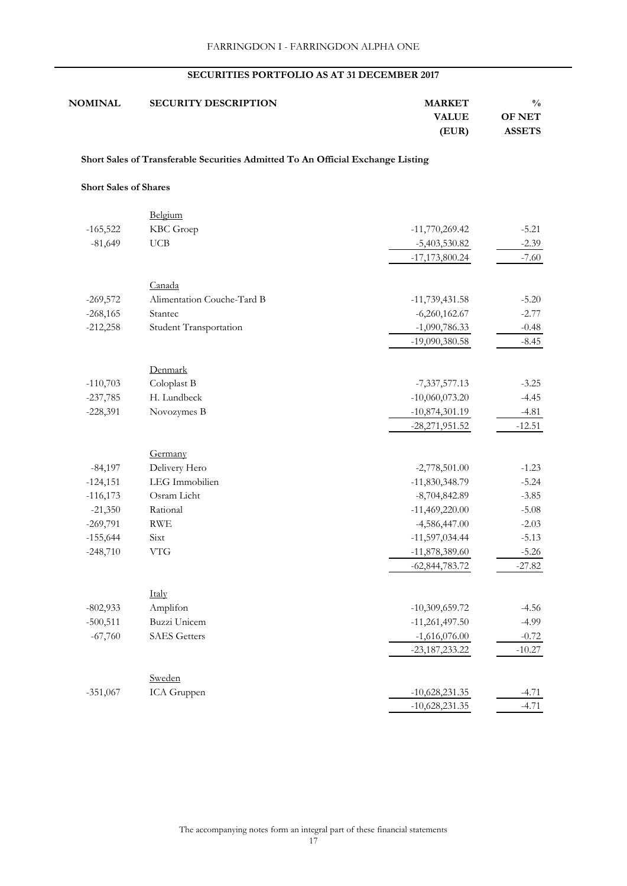| $\frac{0}{0}$ | <b>MARKET</b> | <b>SECURITY DESCRIPTION</b> | <b>NOMINAL</b> |
|---------------|---------------|-----------------------------|----------------|
| <b>OF NET</b> | <b>VALUE</b>  |                             |                |
| <b>ASSETS</b> | (EUR)         |                             |                |

## **Short Sales of Transferable Securities Admitted To An Official Exchange Listing**

#### **Short Sales of Shares**

|            | Belgium                    |                  |          |
|------------|----------------------------|------------------|----------|
| $-165,522$ | KBC Groep                  | $-11,770,269.42$ | $-5.21$  |
| $-81,649$  | $_{\rm UCB}$               | $-5,403,530.82$  | $-2.39$  |
|            |                            | $-17,173,800.24$ | $-7.60$  |
|            | Canada                     |                  |          |
| $-269,572$ | Alimentation Couche-Tard B | $-11,739,431.58$ | $-5.20$  |
| $-268,165$ | Stantec                    | $-6,260,162.67$  | $-2.77$  |
| $-212,258$ | Student Transportation     | $-1,090,786.33$  | $-0.48$  |
|            |                            | -19,090,380.58   | $-8.45$  |
|            |                            |                  |          |
|            | Denmark                    |                  |          |
| $-110,703$ | Coloplast B                | $-7,337,577.13$  | $-3.25$  |
| $-237,785$ | H. Lundbeck                | $-10,060,073.20$ | $-4.45$  |
| $-228,391$ | Novozymes B                | $-10,874,301.19$ | $-4.81$  |
|            |                            | $-28,271,951.52$ | $-12.51$ |
|            | Germany                    |                  |          |
| $-84,197$  | Delivery Hero              | $-2,778,501.00$  | $-1.23$  |
| $-124,151$ | LEG Immobilien             | $-11,830,348.79$ | $-5.24$  |
| $-116,173$ | Osram Licht                | $-8,704,842.89$  | $-3.85$  |
| $-21,350$  | Rational                   | $-11,469,220.00$ | $-5.08$  |
| $-269,791$ | RWE                        | $-4,586,447.00$  | $-2.03$  |
| $-155,644$ | Sixt                       | $-11,597,034.44$ | $-5.13$  |
| $-248,710$ | <b>VTG</b>                 | $-11,878,389.60$ | $-5.26$  |
|            |                            | $-62,844,783.72$ | $-27.82$ |
|            |                            |                  |          |
|            | Italy                      |                  |          |
| $-802,933$ | Amplifon                   | $-10,309,659.72$ | $-4.56$  |
| $-500,511$ | Buzzi Unicem               | $-11,261,497.50$ | $-4.99$  |
| $-67,760$  | <b>SAES</b> Getters        | $-1,616,076.00$  | $-0.72$  |
|            |                            | $-23,187,233.22$ | $-10.27$ |
|            | Sweden                     |                  |          |
| $-351,067$ | ICA Gruppen                | $-10,628,231.35$ | $-4.71$  |
|            |                            | $-10,628,231.35$ | $-4.71$  |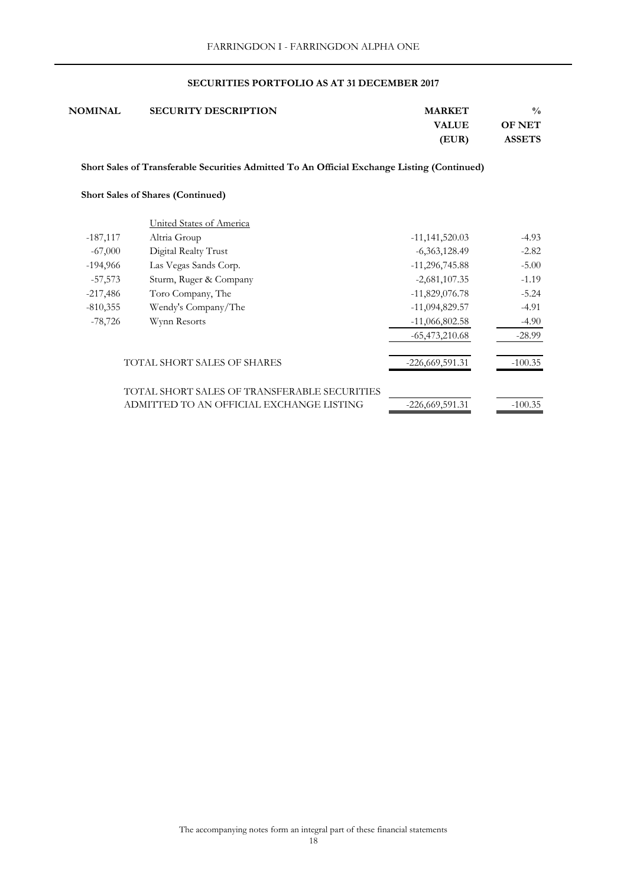| $\frac{0}{0}$ | <b>MARKET</b> | <b>SECURITY DESCRIPTION</b> | <b>NOMINAL</b> |
|---------------|---------------|-----------------------------|----------------|
| <b>OF NET</b> | <b>VALUE</b>  |                             |                |
| <b>ASSETS</b> | (EUR)         |                             |                |

 **Short Sales of Transferable Securities Admitted To An Official Exchange Listing (Continued)**

## **Short Sales of Shares (Continued)**

|            | United States of America                     |                   |           |
|------------|----------------------------------------------|-------------------|-----------|
| $-187,117$ | Altria Group                                 | $-11,141,520.03$  | $-4.93$   |
| $-67,000$  | Digital Realty Trust                         | $-6,363,128.49$   | $-2.82$   |
| $-194,966$ | Las Vegas Sands Corp.                        | $-11,296,745.88$  | $-5.00$   |
| $-57,573$  | Sturm, Ruger & Company                       | $-2,681,107.35$   | $-1.19$   |
| $-217,486$ | Toro Company, The                            | $-11,829,076.78$  | $-5.24$   |
| $-810,355$ | Wendy's Company/The                          | $-11,094,829.57$  | $-4.91$   |
| $-78,726$  | Wynn Resorts                                 | $-11,066,802.58$  | $-4.90$   |
|            |                                              | $-65,473,210.68$  | $-28.99$  |
|            | <b>TOTAL SHORT SALES OF SHARES</b>           | $-226,669,591.31$ | $-100.35$ |
|            | TOTAL SHORT SALES OF TRANSFERABLE SECURITIES |                   |           |
|            | ADMITTED TO AN OFFICIAL EXCHANGE LISTING     | $-226,669,591.31$ | $-100.35$ |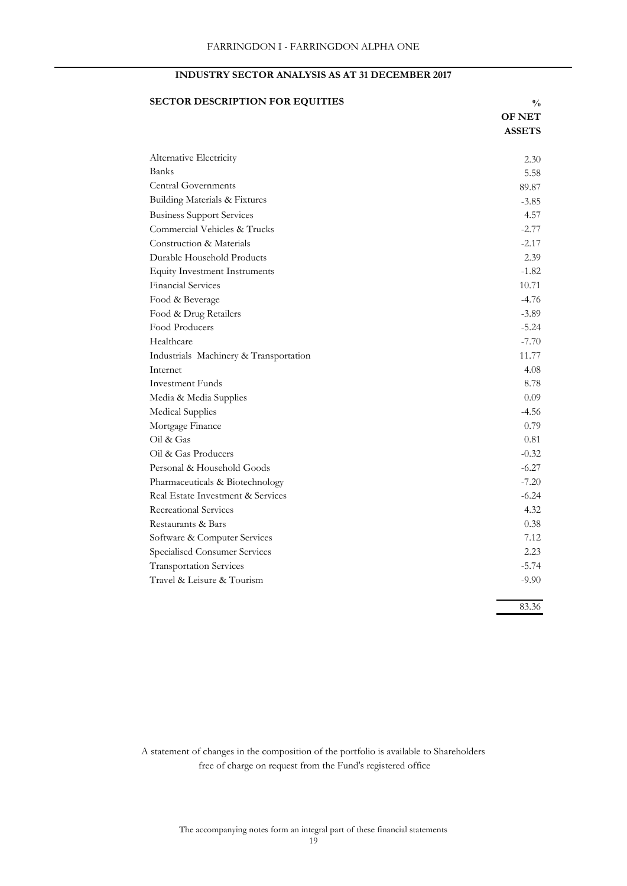## **INDUSTRY SECTOR ANALYSIS AS AT 31 DECEMBER 2017**

| <b>SECTOR DESCRIPTION FOR EQUITIES</b> | $\frac{0}{0}$ |
|----------------------------------------|---------------|
|                                        | <b>OF NET</b> |
|                                        | <b>ASSETS</b> |
| Alternative Electricity                | 2.30          |
| <b>Banks</b>                           | 5.58          |
| <b>Central Governments</b>             | 89.87         |
| Building Materials & Fixtures          | $-3.85$       |
| <b>Business Support Services</b>       | 4.57          |
| Commercial Vehicles & Trucks           | $-2.77$       |
| Construction & Materials               | $-2.17$       |
| Durable Household Products             | 2.39          |
| <b>Equity Investment Instruments</b>   | $-1.82$       |
| <b>Financial Services</b>              | 10.71         |
| Food & Beverage                        | $-4.76$       |
| Food & Drug Retailers                  | $-3.89$       |
| Food Producers                         | $-5.24$       |
| Healthcare                             | $-7.70$       |
| Industrials Machinery & Transportation | 11.77         |
| Internet                               | 4.08          |
| <b>Investment Funds</b>                | 8.78          |
| Media & Media Supplies                 | 0.09          |
| <b>Medical Supplies</b>                | $-4.56$       |
| Mortgage Finance                       | 0.79          |
| Oil & Gas                              | 0.81          |
| Oil & Gas Producers                    | $-0.32$       |
| Personal & Household Goods             | $-6.27$       |
| Pharmaceuticals & Biotechnology        | $-7.20$       |
| Real Estate Investment & Services      | $-6.24$       |
| <b>Recreational Services</b>           | 4.32          |
| Restaurants & Bars                     | 0.38          |
| Software & Computer Services           | 7.12          |
| Specialised Consumer Services          | 2.23          |
| <b>Transportation Services</b>         | $-5.74$       |
| Travel & Leisure & Tourism             | $-9.90$       |
|                                        | 83.36         |

 free of charge on request from the Fund's registered office A statement of changes in the composition of the portfolio is available to Shareholders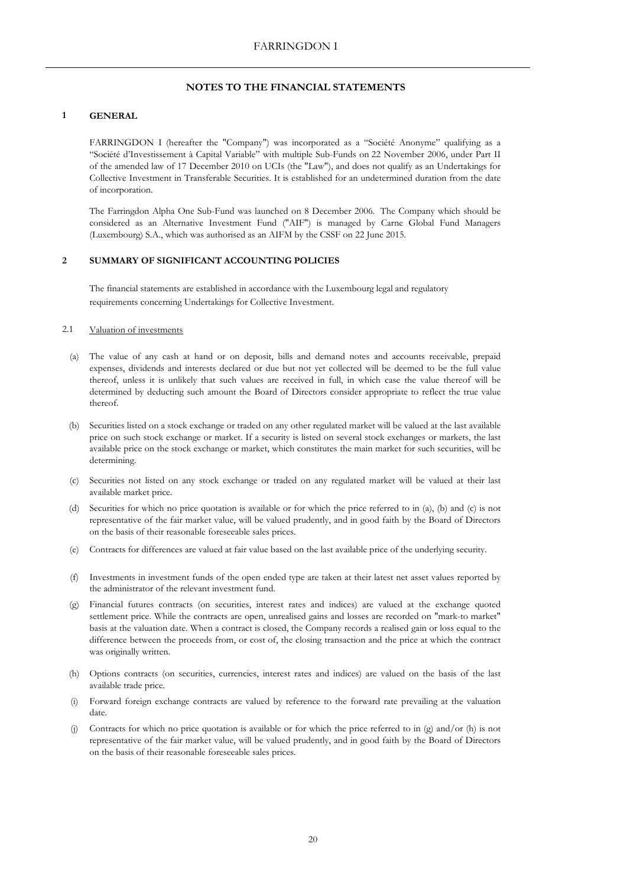#### **1 GENERAL**

FARRINGDON I (hereafter the "Company") was incorporated as a "Société Anonyme" qualifying as a "Société d'Investissement à Capital Variable" with multiple Sub-Funds on 22 November 2006, under Part II of the amended law of 17 December 2010 on UCIs (the "Law"), and does not qualify as an Undertakings for Collective Investment in Transferable Securities. It is established for an undetermined duration from the date of incorporation.

The Farringdon Alpha One Sub-Fund was launched on 8 December 2006. The Company which should be considered as an Alternative Investment Fund ("AIF") is managed by Carne Global Fund Managers (Luxembourg) S.A., which was authorised as an AIFM by the CSSF on 22 June 2015.

#### **2 SUMMARY OF SIGNIFICANT ACCOUNTING POLICIES**

The financial statements are established in accordance with the Luxembourg legal and regulatory requirements concerning Undertakings for Collective Investment.

#### 2.1 Valuation of investments

- (a) The value of any cash at hand or on deposit, bills and demand notes and accounts receivable, prepaid expenses, dividends and interests declared or due but not yet collected will be deemed to be the full value thereof, unless it is unlikely that such values are received in full, in which case the value thereof will be determined by deducting such amount the Board of Directors consider appropriate to reflect the true value thereof.
- (b) Securities listed on a stock exchange or traded on any other regulated market will be valued at the last available price on such stock exchange or market. If a security is listed on several stock exchanges or markets, the last available price on the stock exchange or market, which constitutes the main market for such securities, will be determining.
- (c) Securities not listed on any stock exchange or traded on any regulated market will be valued at their last available market price.
- (d) Securities for which no price quotation is available or for which the price referred to in (a), (b) and (c) is not representative of the fair market value, will be valued prudently, and in good faith by the Board of Directors on the basis of their reasonable foreseeable sales prices.
- (e) Contracts for differences are valued at fair value based on the last available price of the underlying security.
- (f) Investments in investment funds of the open ended type are taken at their latest net asset values reported by the administrator of the relevant investment fund.
- (g) Financial futures contracts (on securities, interest rates and indices) are valued at the exchange quoted settlement price. While the contracts are open, unrealised gains and losses are recorded on "mark-to market" basis at the valuation date. When a contract is closed, the Company records a realised gain or loss equal to the difference between the proceeds from, or cost of, the closing transaction and the price at which the contract was originally written.
- (h) Options contracts (on securities, currencies, interest rates and indices) are valued on the basis of the last available trade price.
- (i) Forward foreign exchange contracts are valued by reference to the forward rate prevailing at the valuation date.
- (j) Contracts for which no price quotation is available or for which the price referred to in  $(g)$  and/or (h) is not representative of the fair market value, will be valued prudently, and in good faith by the Board of Directors on the basis of their reasonable foreseeable sales prices.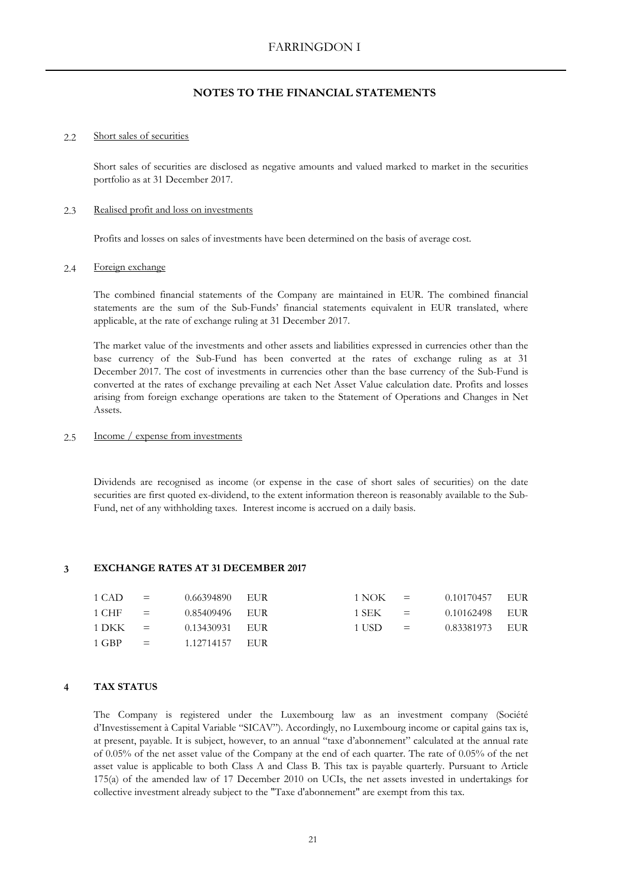#### $2.2$ Short sales of securities

Short sales of securities are disclosed as negative amounts and valued marked to market in the securities portfolio as at 31 December 2017.

#### 2.3 Realised profit and loss on investments

Profits and losses on sales of investments have been determined on the basis of average cost.

#### 2.4 Foreign exchange

The combined financial statements of the Company are maintained in EUR. The combined financial statements are the sum of the Sub-Funds' financial statements equivalent in EUR translated, where applicable, at the rate of exchange ruling at 31 December 2017.

The market value of the investments and other assets and liabilities expressed in currencies other than the base currency of the Sub-Fund has been converted at the rates of exchange ruling as at 31 December 2017. The cost of investments in currencies other than the base currency of the Sub-Fund is converted at the rates of exchange prevailing at each Net Asset Value calculation date. Profits and losses arising from foreign exchange operations are taken to the Statement of Operations and Changes in Net Assets.

#### 2.5 Income / expense from investments

Dividends are recognised as income (or expense in the case of short sales of securities) on the date securities are first quoted ex-dividend, to the extent information thereon is reasonably available to the Sub-Fund, net of any withholding taxes. Interest income is accrued on a daily basis.

#### **3 EXCHANGE RATES AT 31 DECEMBER 2017**

| $1$ CAD =       |                            | 0.66394890 EUR | $1 NOK =$   | 0.10170457 EUR |  |
|-----------------|----------------------------|----------------|-------------|----------------|--|
| $1$ CHF $=$     |                            | 0.85409496 EUR | $1$ SEK $=$ | 0.10162498 EUR |  |
| $1\text{DKK}$ = |                            | 0.13430931 EUR | $1$ USD $=$ | 0.83381973 EUR |  |
| 1 GBP           | $\epsilon_{\rm{max}}=0.01$ | 1.12714157 EUR |             |                |  |

## **4 TAX STATUS**

The Company is registered under the Luxembourg law as an investment company (Société d'Investissement à Capital Variable "SICAV"). Accordingly, no Luxembourg income or capital gains tax is, at present, payable. It is subject, however, to an annual "taxe d'abonnement" calculated at the annual rate of 0.05% of the net asset value of the Company at the end of each quarter. The rate of 0.05% of the net asset value is applicable to both Class A and Class B. This tax is payable quarterly. Pursuant to Article 175(a) of the amended law of 17 December 2010 on UCIs, the net assets invested in undertakings for collective investment already subject to the "Taxe d'abonnement" are exempt from this tax.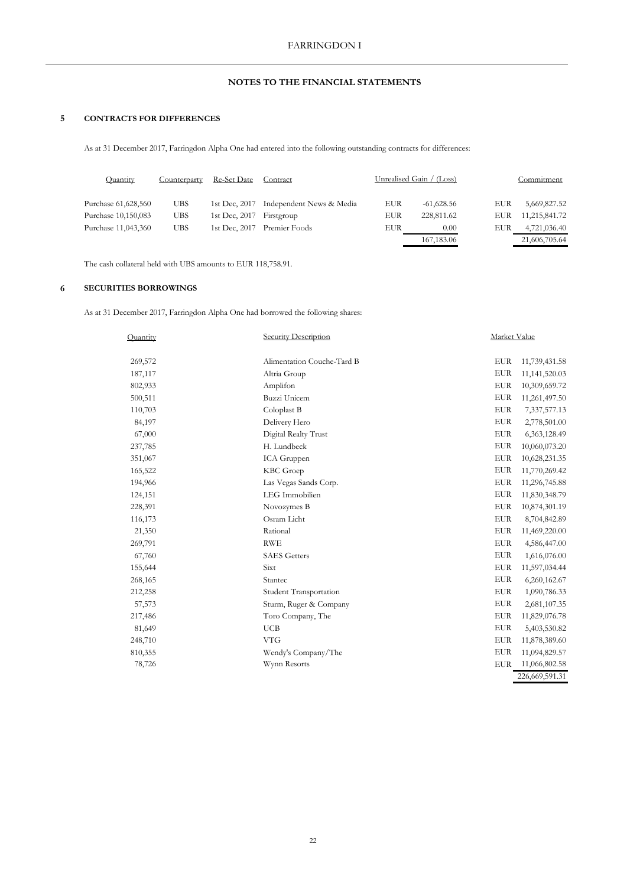#### **5 CONTRACTS FOR DIFFERENCES**

As at 31 December 2017, Farringdon Alpha One had entered into the following outstanding contracts for differences:

| Quantity            | Counterparty | <b>Re-Set Date</b>       | Contract                               |     | Unrealised Gain / (Loss) |     | Commitment    |
|---------------------|--------------|--------------------------|----------------------------------------|-----|--------------------------|-----|---------------|
| Purchase 61,628,560 | <b>UBS</b>   |                          | 1st Dec, 2017 Independent News & Media | EUR | $-61,628.56$             | EUR | 5,669,827.52  |
| Purchase 10,150,083 | UBS.         | 1st Dec, 2017 Firstgroup |                                        | EUR | 228,811.62               | EUR | 11,215,841.72 |
| Purchase 11,043,360 | <b>UBS</b>   |                          | 1st Dec, 2017 Premier Foods            | EUR | 0.00                     | EUR | 4,721,036.40  |
|                     |              |                          |                                        |     | 167, 183.06              |     | 21,606,705.64 |

The cash collateral held with UBS amounts to EUR 118,758.91.

## **6 SECURITIES BORROWINGS**

As at 31 December 2017, Farringdon Alpha One had borrowed the following shares:

| Ouantity | Security Description       | Market Value |                |
|----------|----------------------------|--------------|----------------|
| 269,572  | Alimentation Couche-Tard B | <b>EUR</b>   | 11,739,431.58  |
| 187,117  | Altria Group               | <b>EUR</b>   | 11,141,520.03  |
| 802,933  | Amplifon                   | <b>EUR</b>   | 10,309,659.72  |
| 500,511  | Buzzi Unicem               | <b>EUR</b>   | 11,261,497.50  |
| 110,703  | Coloplast B                | <b>EUR</b>   | 7,337,577.13   |
| 84,197   | Delivery Hero              | <b>EUR</b>   |                |
|          |                            | <b>EUR</b>   | 2,778,501.00   |
| 67,000   | Digital Realty Trust       |              | 6,363,128.49   |
| 237,785  | H. Lundbeck                | <b>EUR</b>   | 10,060,073.20  |
| 351,067  | ICA Gruppen                | <b>EUR</b>   | 10,628,231.35  |
| 165,522  | KBC Groep                  | <b>EUR</b>   | 11,770,269.42  |
| 194,966  | Las Vegas Sands Corp.      | <b>EUR</b>   | 11,296,745.88  |
| 124,151  | LEG Immobilien             | <b>EUR</b>   | 11,830,348.79  |
| 228,391  | Novozymes B                | <b>EUR</b>   | 10,874,301.19  |
| 116,173  | Osram Licht                | <b>EUR</b>   | 8,704,842.89   |
| 21,350   | Rational                   | <b>EUR</b>   | 11,469,220.00  |
| 269,791  | <b>RWE</b>                 | <b>EUR</b>   | 4,586,447.00   |
| 67,760   | <b>SAES</b> Getters        | <b>EUR</b>   | 1,616,076.00   |
| 155,644  | Sixt                       | <b>EUR</b>   | 11,597,034.44  |
| 268,165  | Stantec                    | <b>EUR</b>   | 6,260,162.67   |
| 212,258  | Student Transportation     | <b>EUR</b>   | 1,090,786.33   |
| 57,573   | Sturm, Ruger & Company     | <b>EUR</b>   | 2,681,107.35   |
| 217,486  | Toro Company, The          | <b>EUR</b>   | 11,829,076.78  |
| 81,649   | <b>UCB</b>                 | <b>EUR</b>   | 5,403,530.82   |
| 248,710  | <b>VTG</b>                 | <b>EUR</b>   | 11,878,389.60  |
| 810,355  | Wendy's Company/The        | <b>EUR</b>   | 11,094,829.57  |
| 78,726   | Wynn Resorts               | <b>EUR</b>   | 11,066,802.58  |
|          |                            |              | 226,669,591.31 |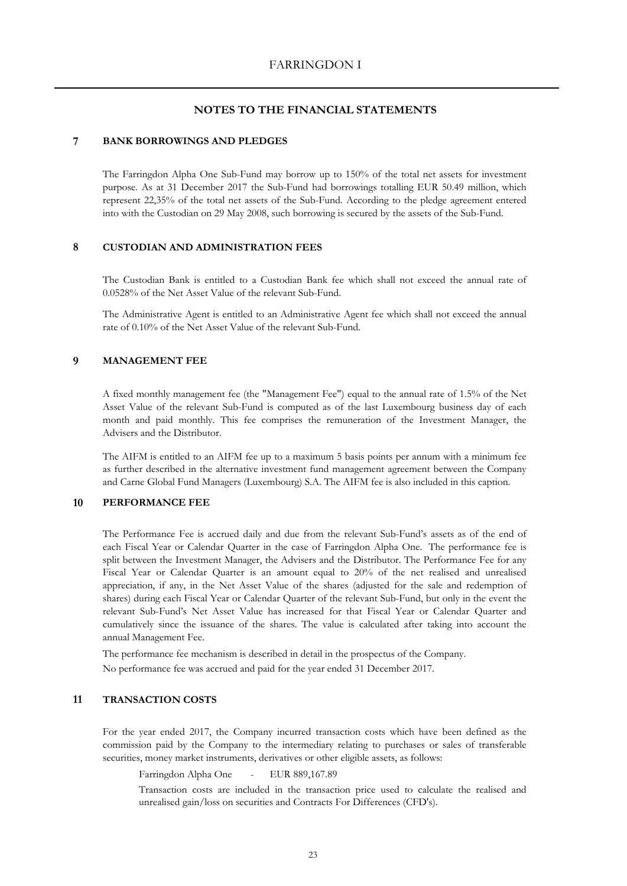#### **7 BANK BORROWINGS AND PLEDGES**

The Farringdon Alpha One Sub-Fund may borrow up to 150% of the total net assets for investment purpose. As at 31 December 2017 the Sub-Fund had borrowings totalling EUR 50.49 million, which represent 22,35% of the total net assets of the Sub-Fund. According to the pledge agreement entered into with the Custodian on 29 May 2008, such borrowing is secured by the assets of the Sub-Fund.

## **8 CUSTODIAN AND ADMINISTRATION FEES**

The Custodian Bank is entitled to a Custodian Bank fee which shall not exceed the annual rate of 0.0528% of the Net Asset Value of the relevant Sub-Fund.

The Administrative Agent is entitled to an Administrative Agent fee which shall not exceed the annual rate of 0.10% of the Net Asset Value of the relevant Sub-Fund.

#### **9 MANAGEMENT FEE**

A fixed monthly management fee (the "Management Fee") equal to the annual rate of 1.5% of the Net Asset Value of the relevant Sub-Fund is computed as of the last Luxembourg business day of each month and paid monthly. This fee comprises the remuneration of the Investment Manager, the Advisers and the Distributor.

The AIFM is entitled to an AIFM fee up to a maximum 5 basis points per annum with a minimum fee as further described in the alternative investment fund management agreement between the Company and Carne Global Fund Managers (Luxembourg) S.A. The AIFM fee is also included in this caption.

## **10 PERFORMANCE FEE**

The Performance Fee is accrued daily and due from the relevant Sub-Fund's assets as of the end of each Fiscal Year or Calendar Quarter in the case of Farringdon Alpha One. The performance fee is split between the Investment Manager, the Advisers and the Distributor. The Performance Fee for any Fiscal Year or Calendar Quarter is an amount equal to 20% of the net realised and unrealised appreciation, if any, in the Net Asset Value of the shares (adjusted for the sale and redemption of shares) during each Fiscal Year or Calendar Quarter of the relevant Sub-Fund, but only in the event the relevant Sub-Fund's Net Asset Value has increased for that Fiscal Year or Calendar Quarter and cumulatively since the issuance of the shares. The value is calculated after taking into account the annual Management Fee.

No performance fee was accrued and paid for the year ended 31 December 2017. The performance fee mechanism is described in detail in the prospectus of the Company.

## **11 TRANSACTION COSTS**

For the year ended 2017, the Company incurred transaction costs which have been defined as the commission paid by the Company to the intermediary relating to purchases or sales of transferable securities, money market instruments, derivatives or other eligible assets, as follows:

Farringdon Alpha One - EUR 889,167.89

Transaction costs are included in the transaction price used to calculate the realised and unrealised gain/loss on securities and Contracts For Differences (CFD's).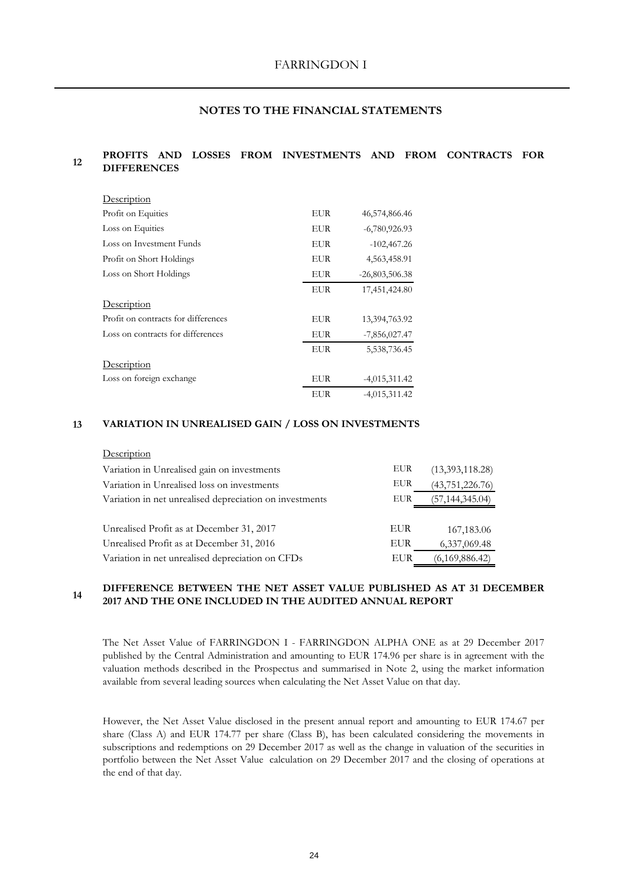#### **12 PROFITS AND LOSSES FROM INVESTMENTS AND FROM CONTRACTS FOR DIFFERENCES**

| <u>Description</u>                  |            |                  |
|-------------------------------------|------------|------------------|
| Profit on Equities                  | EUR        | 46,574,866.46    |
| Loss on Equities                    | EUR        | $-6,780,926.93$  |
| Loss on Investment Funds            | EUR        | $-102,467.26$    |
| Profit on Short Holdings            | EUR        | 4,563,458.91     |
| Loss on Short Holdings              | EUR        | $-26,803,506.38$ |
|                                     | EUR        | 17,451,424.80    |
| Description                         |            |                  |
| Profit on contracts for differences | EUR        | 13,394,763.92    |
| Loss on contracts for differences   | EUR        | $-7,856,027.47$  |
|                                     | <b>EUR</b> | 5,538,736.45     |
| Description                         |            |                  |
| Loss on foreign exchange            | EUR        | $-4,015,311.42$  |
|                                     | EUR        | $-4,015,311.42$  |

#### **13 VARIATION IN UNREALISED GAIN / LOSS ON INVESTMENTS**

## **Description**

| Variation in Unrealised gain on investments             | EUR        | (13,393,118.28)   |
|---------------------------------------------------------|------------|-------------------|
| Variation in Unrealised loss on investments             | EUR        | (43, 751, 226.76) |
| Variation in net unrealised depreciation on investments | EUR        | (57, 144, 345.04) |
|                                                         |            |                   |
| Unrealised Profit as at December 31, 2017               | <b>EUR</b> | 167,183.06        |
| Unrealised Profit as at December 31, 2016               | <b>EUR</b> | 6,337,069.48      |
| Variation in net unrealised depreciation on CFDs        | EUR        | (6,169,886.42)    |

#### **14 DIFFERENCE BETWEEN THE NET ASSET VALUE PUBLISHED AS AT 31 DECEMBER 2017 AND THE ONE INCLUDED IN THE AUDITED ANNUAL REPORT**

The Net Asset Value of FARRINGDON I - FARRINGDON ALPHA ONE as at 29 December 2017 published by the Central Administration and amounting to EUR 174.96 per share is in agreement with the valuation methods described in the Prospectus and summarised in Note 2, using the market information available from several leading sources when calculating the Net Asset Value on that day.

However, the Net Asset Value disclosed in the present annual report and amounting to EUR 174.67 per share (Class A) and EUR 174.77 per share (Class B), has been calculated considering the movements in subscriptions and redemptions on 29 December 2017 as well as the change in valuation of the securities in portfolio between the Net Asset Value calculation on 29 December 2017 and the closing of operations at the end of that day.